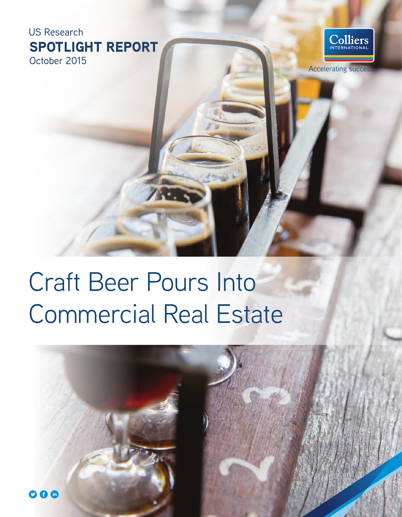SPOTLIGHT REPORT October 2015 US Research



**Accelerating succes** 

# Craft Beer Pours Into Commercial Real Estate

750

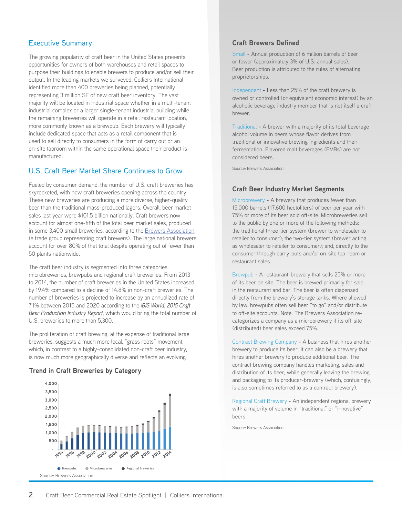## Executive Summary

The growing popularity of craft beer in the United States presents opportunities for owners of both warehouses and retail spaces to purpose their buildings to enable brewers to produce and/or sell their output. In the leading markets we surveyed, Colliers International identifed more than 400 breweries being planned, potentially representing 3 million SF of new craft beer inventory. The vast majority will be located in industrial space whether in a multi-tenant industrial complex or a larger single-tenant industrial building while the remaining breweries will operate in a retail restaurant location, more commonly known as a brewpub. Each brewery will typically include dedicated space that acts as a retail component that is used to sell directly to consumers in the form of carry out or an on-site taproom within the same operational space their product is manufactured.

#### U.S. Craft Beer Market Share Continues to Grow

Fueled by consumer demand, the number of U.S. craft breweries has skyrocketed, with new craft breweries opening across the country. These new breweries are producing a more diverse, higher-quality beer than the traditional mass-produced lagers. Overall, beer market sales last year were \$101.5 billion nationally. Craft brewers now account for almost one-ffth of the total beer market sales, produced in some 3,400 small breweries, according to the Brewers Association, (a trade group representing craft brewers). The large national brewers account for over 80% of that total despite operating out of fewer than 50 plants nationwide.

The craft beer industry is segmented into three categories: microbreweries, brewpubs and regional craft breweries. From 2013 to 2014, the number of craft breweries in the United States increased by 19.4% compared to a decline of 14.8% in non-craft breweries. The number of breweries is projected to increase by an annualized rate of 7.1% between 2015 and 2020 according to the *IBIS World: 2015 Craft Beer Production Industry Report*, which would bring the total number of U.S. breweries to more than 5,300.

The proliferation of craft brewing, at the expense of traditional large breweries, suggests a much more local, "grass roots" movement, which, in contrast to a highly-consolidated non-craft beer industry, is now much more geographically diverse and refects an evolving

#### **Trend in Craft Breweries by Category**



#### **Craft Brewers Defned**

Small **-** Annual production of 6 million barrels of beer or fewer (approximately 3% of U.S. annual sales). Beer production is attributed to the rules of alternating proprietorships.

Independent **-** Less than 25% of the craft brewery is owned or controlled (or equivalent economic interest) by an alcoholic beverage industry member that is not itself a craft brewer.

Traditional **-** A brewer with a majority of its total beverage alcohol volume in beers whose favor derives from traditional or innovative brewing ingredients and their fermentation. Flavored malt beverages (FMBs) are not considered beers.

Source: Brewers Association

#### **Craft Beer Industry Market Segments**

Microbrewery **-** A brewery that produces fewer than 15,000 barrels (17,600 hectoliters) of beer per year with 75% or more of its beer sold off-site. Microbreweries sell to the public by one or more of the following methods: the traditional three-tier system (brewer to wholesaler to retailer to consumer); the two-tier system (brewer acting as wholesaler to retailer to consumer); and, directly to the consumer through carry-outs and/or on-site tap-room or restaurant sales.

Brewpub - A restaurant-brewery that sells 25% or more of its beer on site. The beer is brewed primarily for sale in the restaurant and bar. The beer is often dispensed directly from the brewery's storage tanks. Where allowed by law, brewpubs often sell beer "to go" and/or distribute to off-site accounts. Note: The Brewers Association recategorizes a company as a microbrewery if its off-site (distributed) beer sales exceed 75%.

Contract Brewing Company **-** A business that hires another brewery to produce its beer. It can also be a brewery that hires another brewery to produce additional beer. The contract brewing company handles marketing, sales and distribution of its beer, while generally leaving the brewing and packaging to its producer-brewery (which, confusingly, is also sometimes referred to as a contract brewery).

Regional Craft Brewery **-** An independent regional brewery with a majority of volume in "traditional" or "innovative" beers.

Source: Brewers Association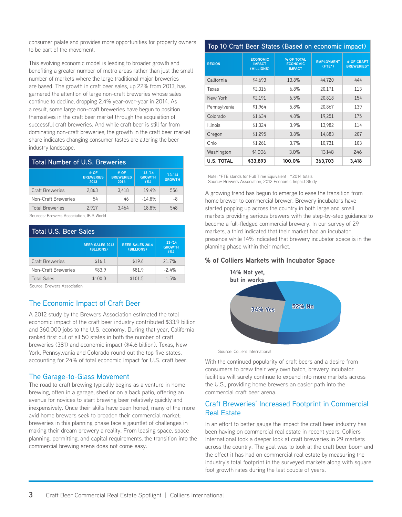consumer palate and provides more opportunities for property owners to be part of the movement.

This evolving economic model is leading to broader growth and benefting a greater number of metro areas rather than just the small number of markets where the large traditional major breweries are based. The growth in craft beer sales, up 22% from 2013, has garnered the attention of large non-craft breweries whose sales continue to decline, dropping 2.4% year-over-year in 2014. As a result, some large non-craft breweries have begun to position themselves in the craft beer market through the acquisition of successful craft breweries. And while craft beer is still far from dominating non-craft breweries, the growth in the craft beer market share indicates changing consumer tastes are altering the beer industry landscape.

| <b>Total Number of U.S. Breweries</b> |                                  |                                                                        |          |                            |  |  |
|---------------------------------------|----------------------------------|------------------------------------------------------------------------|----------|----------------------------|--|--|
|                                       | # OF<br><b>BREWERIES</b><br>2013 | $13 - 14$<br># OF<br><b>BREWERIES</b><br><b>GROWTH</b><br>(% )<br>2014 |          | $13 - 14$<br><b>GROWTH</b> |  |  |
| <b>Craft Breweries</b>                | 2.863                            | 3.418                                                                  | 19.4%    | 556                        |  |  |
| Non-Craft Breweries                   | 54                               | 46                                                                     | $-14.8%$ | -8                         |  |  |
| <b>Total Breweries</b>                | 2.917                            | 3.464                                                                  | 18.8%    | 548                        |  |  |

Sources: Brewers Association, IBIS World

| <b>Total U.S. Beer Sales</b> |                                     |                                      |                                    |  |  |
|------------------------------|-------------------------------------|--------------------------------------|------------------------------------|--|--|
|                              | <b>BEER SALES 2013</b><br>(BLLIONS) | <b>BEER SALES 2014</b><br>(BILLIONS) | $13 - 14$<br><b>GROWTH</b><br>(% ) |  |  |
| <b>Craft Breweries</b>       | \$16.1                              | \$19.6                               | 21.7%                              |  |  |
| Non-Craft Breweries          | \$83.9                              | \$81.9                               | $-2.4%$                            |  |  |
| <b>Total Sales</b>           | \$100.0                             | \$101.5                              | 1.5%                               |  |  |

Source: Brewers Association

## The Economic Impact of Craft Beer

A 2012 study by the Brewers Association estimated the total economic impact of the craft beer industry contributed \$33.9 billion and 360,000 jobs to the U.S. economy. During that year, California ranked frst out of all 50 states in both the number of craft breweries (381) and economic impact (\$4.6 billion). Texas, New York, Pennsylvania and Colorado round out the top five states, accounting for 24% of total economic impact for U.S. craft beer.

## The Garage-to-Glass Movement

The road to craft brewing typically begins as a venture in home brewing, often in a garage, shed or on a back patio, offering an avenue for novices to start brewing beer relatively quickly and inexpensively. Once their skills have been honed, many of the more avid home brewers seek to broaden their commercial market; breweries in this planning phase face a gauntlet of challenges in making their dream brewery a reality. From leasing space, space planning, permitting, and capital requirements, the transition into the commercial brewing arena does not come easy.

#### **Top 10 Craft Beer States (Based on economic impact)**

| <b>REGION</b>     | <b>ECONOMIC</b><br><b>IMPACT</b><br>(MILLIONS) | % OF TOTAL<br><b>ECONOMIC</b><br><b>IMPACT</b> | <b>EMPLOYMENT</b><br>$(FTE*)$ | # OF CRAFT<br><b>BREWERIES^</b> |
|-------------------|------------------------------------------------|------------------------------------------------|-------------------------------|---------------------------------|
| California        | \$4.693                                        | 13.8%                                          | 44,720                        | 444                             |
| Texas             | \$2.316                                        | 6.8%                                           | 20.171                        | 113                             |
| New York          | \$2.191                                        | 6.5%                                           | 20.818                        | 154                             |
| Pennsylvania      | \$1.964                                        | 5.8%                                           | 20.867                        | 139                             |
| Colorado          | \$1.634                                        | 4.8%                                           | 19,251                        | 175                             |
| <b>Illinois</b>   | \$1,324                                        | 3.9%                                           | 13.982                        | 114                             |
| Oregon            | \$1.295                                        | 3.8%                                           | 14.883                        | 207                             |
| Ohio              | \$1.261                                        | 3.7%                                           | 10.731                        | 103                             |
| Washington        | \$1,006                                        | 3.0%                                           | 13,148                        | 246                             |
| <b>U.S. TOTAL</b> | \$33,893                                       | 100.0%                                         | 363,703                       | 3,418                           |

Note: \*FTE stands for Full Time Equivalent ^2014 totals Source: Brewers Association, 2012 Economic Impact Study

A growing trend has begun to emerge to ease the transition from home brewer to commercial brewer. Brewery incubators have started popping up across the country in both large and small markets providing serious brewers with the step-by-step guidance to become a full-fedged commercial brewery. In our survey of 29 markets, a third indicated that their market had an incubator presence while 14% indicated that brewery incubator space is in the planning phase within their market.

#### **% of Colliers Markets with Incubator Space**



Source: Colliers International

With the continued popularity of craft beers and a desire from consumers to brew their very own batch, brewery incubator facilities will surely continue to expand into more markets across the U.S., providing home brewers an easier path into the commercial craft beer arena.

#### Craft Breweries' Increased Footprint in Commercial Real Estate **% of Occupied Space by Building Tenancy**

In an effort to better gauge the impact the craft beer industry has been having on commercial real estate in recent years, Colliers International took a deeper look at craft breweries in 29 markets across the country. The goal was to look at the craft beer boom and<br>the effect it has had on commercial real estate by measuring the the efect it has had on commercial real estate by measuring the industry's total footprint in the surveyed markets along with square foot growth rates during the last couple of years.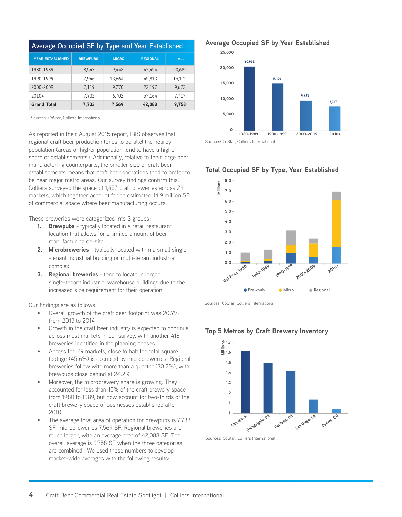| Average Occupied SF by Type and Year Established |                 |              |                 |            |  |
|--------------------------------------------------|-----------------|--------------|-----------------|------------|--|
| <b>YEAR ESTABLISHED</b>                          | <b>BREWPUBS</b> | <b>MICRO</b> | <b>REGIONAL</b> | <b>ALL</b> |  |
| 1980-1989                                        | 8.543           | 9.442        | 47.454          | 20,682     |  |
| 1990-1999                                        | 7.946           | 13.664       | 45,813          | 15,179     |  |
| 2000-2009                                        | 7.119           | 9.270        | 22,197          | 9.673      |  |
| $2010+$                                          | 7.732           | 6.702        | 57.164          | 7.717      |  |
| <b>Grand Total</b>                               | 7,733           | 7,569        | 42,088          | 9,758      |  |

Sources: CoStar, Colliers International

As reported in their August 2015 report, IBIS observes that regional craft beer production tends to parallel the nearby population (areas of higher population tend to have a higher share of establishments). Additionally, relative to their large beer manufacturing counterparts, the smaller size of craft beer establishments means that craft beer operations tend to prefer to be near major metro areas. Our survey fndings confrm this. Colliers surveyed the space of 1,457 craft breweries across 29 markets, which together account for an estimated 14.9 million SF of commercial space where beer manufacturing occurs.

These breweries were categorized into 3 groups:

- **1. Brewpubs** typically located in a retail restaurant location that allows for a limited amount of beer manufacturing on-site
- **2. Microbreweries** typically located within a small single -tenant industrial building or multi-tenant industrial complex
- **3. Regional breweries** tend to locate in larger single-tenant industrial warehouse buildings due to the increased size requirement for their operation

Our fndings are as follows:

- Overall growth of the craft beer footprint was 20.7% from 2013 to 2014
- Growth in the craft beer industry is expected to continue across most markets in our survey, with another 418 breweries identifed in the planning phases.
- Across the 29 markets, close to half the total square footage (45.6%) is occupied by microbreweries. Regional breweries follow with more than a quarter (30.2%), with brewpubs close behind at 24.2%.
- Moreover, the microbrewery share is growing. They accounted for less than 10% of the craft brewery space from 1980 to 1989, but now account for two-thirds of the craft brewery space of businesses established after 2010.
- The average total area of operation for brewpubs is 7,733 SF, microbreweries 7,569 SF. Regional breweries are much larger, with an average area of 42,088 SF. The overall average is 9,758 SF when the three categories are combined. We used these numbers to develop market-wide averages with the following results:

**Average Occupied SF by Year Established**









Sources: CoStar, Colliers International



**Top 5 Metros by Craft Brewery Inventory**

Sources: CoStar, Colliers International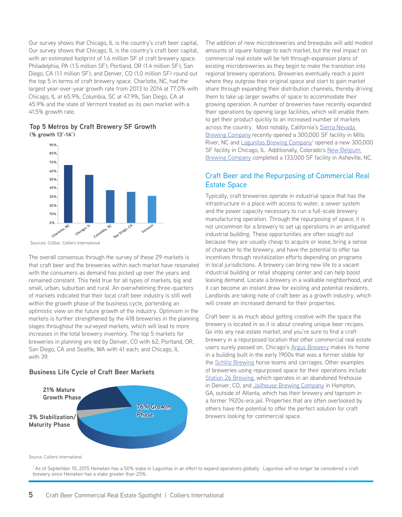Our survey shows that Chicago, IL is the country's craft beer capital,  **3,000** Our survey shows that Chicago, IL is the country's craft beer capital,  **2,500** with an estimated footprint of 1.6 million SF of craft brewery space. Philadelphia, PA (1.5 million SF); Portland, OR (1.4 million SF); San Diego, CA (1.1 million SF); and Denver, CO (1.0 million SF) round out  **500** the top 5 in terms of craft brewery space. Charlotte, NC, had the largest year-over-year growth rate from 2013 to 2014 at 77.0% with Chicago, IL at 65.9%, Columbia, SC at 47.9%, San Diego, CA at 45.9% and the state of Vermont treated as its own market with a 41.5% growth rate.  **1,000**





Sources: CoStar, Colliers International

The overall consensus through the survey of these 29 markets is that craft beer and the breweries within each market have resonated with the consumers as demand has picked up over the years and remained constant. This held true for all types of markets, big and small, urban, suburban and rural. An overwhelming three-quarters of markets indicated that their local craft beer industry is still well **59.4%** within the growth phase of the business cycle, portending an **89.5% 88.7% 81.1% 60%** optimistic view on the future growth of the industry. Optimism in the **40%** markets is further strengthened by the 418 breweries in the planning **20%** stages throughout the surveyed markets, which will lead to more **10.5% 11.3% 18.9%** increases in the total brewery inventory. The top 5 markets for breweries in planning are led by Denver, CO with 62; Portland, OR, San Diego, CA and Seattle, WA with 41 each; and Chicago, IL with 39. Which the consumers as demand has picked understand constant. This held true for all type small, urban, suburban and rural. An overwhord markets indicated that their local craft be within the growth phase of the business c **0% 80%**

## **Business Life Cycle of Craft Beer Markets Business Life Cycle of Colliers Craft Beer Markets**



The addition of new microbreweries and brewpubs will add modest amounts of square footage to each market, but the real impact on commercial real estate will be felt through expansion plans of existing microbreweries as they begin to make the transition into regional brewery operations. Breweries eventually reach a point where they outgrow their original space and start to gain market share through expanding their distribution channels, thereby driving them to take up larger swaths of space to accommodate their growing operation. A number of breweries have recently expanded their operations by opening large facilities, which will enable them to get their product quickly to an increased number of markets across the country. Most notably, California's Sierra Nevada Brewing Company recently opened a 300,000 SF facility in Mills River, NC and <u>Lagunitas Brewing Company</u>1 opened a new 300,000 SF facility in Chicago, IL. Additionally, Colorado's New Belgium Brewing Company completed a 133,000 SF facility in Asheville, NC.

## Craft Beer and the Repurposing of Commercial Real Estate Space

Typically, craft breweries operate in industrial space that has the infrastructure in a place with access to water, a sewer system and the power capacity necessary to run a full-scale brewery manufacturing operation. Through the repurposing of space, it is not uncommon for a brewery to set up operations in an antiquated industrial building. These opportunities are often sought out because they are usually cheap to acquire or lease, bring a sense of character to the brewery, and have the potential to offer tax incentives through revitalization efforts depending on programs in local jurisdictions. A brewery can bring new life to a vacant industrial building or retail shopping center and can help boost leasing demand. Locate a brewery in a walkable neighborhood, and it can become an instant draw for existing and potential residents. Landlords are taking note of craft beer as a growth industry, which will create an increased demand for their properties.

Craft beer is as much about getting creative with the space the brewery is located in as it is about creating unique beer recipes. Go into any real estate market, and you're sure to find a craft brewery in a repurposed location that other commercial real estate users surely passed on. Chicago's Argus Brewery makes its home in a building built in the early 1900s that was a former stable for the **Schlitz Brewing** horse teams and carriages. Other examples of breweries using repurposed space for their operations include Station 26 Brewing, which operates in an abandoned firehouse in Denver, CO, and Jailhouse Brewing Company in Hampton, GA, outside of Atlanta, which has their brewery and taproom in a former 1920s-era jail. Properties that are often overlooked by others have the potential to offer the perfect solution for craft brewers looking for commercial space.

Source: Colliers International

<sup>1</sup> As of September 10, 2015 Heineken has a 50% stake in Lagunitas in an effort to expand operations globally. Lagunitas will no longer be considered a craft brewery since Heineken has a stake greater than 25%. **0**

**1980-1989 1990-1999 2000-2009 2010+**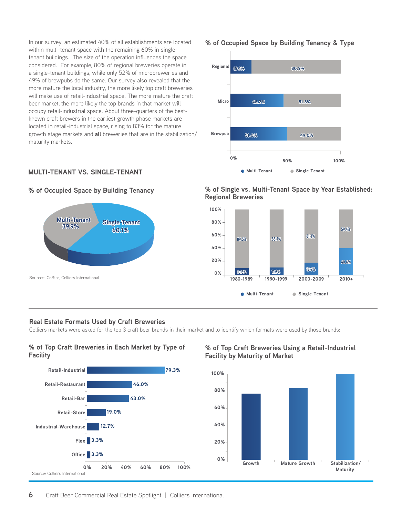In our survey, an estimated 40% of all establishments are located within multi-tenant space with the remaining 60% in singletenant buildings. The size of the operation influences the space considered. For example, 80% of regional breweries operate in a single-tenant buildings, while only 52% of microbreweries and 49% of brewpubs do the same. Our survey also revealed that the **52% No 34% Yes** more mature the local industry, the more likely top craft breweries will make use of retail-industrial space. The more mature the craft beer market, the more likely the top brands in that market will occupy retail-industrial space. About three-quarters of the best-<br>known craft brewers in the earliest growth phase markets are known craft brewers in the earliest growth phase markets are located in retail-industrial space, rising to 83% for the mature growth stage markets and **all** breweries that are in the stabilization/  $\overline{\phantom{a}}$  maturity markets.

## **MULTI-TENANT VS. SINGLE-TENANT**



**% of Occupied Space by Building Tenancy** 



#### **0% 50% 100% Real Estate Formats Used by Craft Breweries Real Estate Formats Used by Craft Breweries**

**Real Estate Formats Used by Craft Breweries**<br>Colliers markets were asked for the top 3 craft beer brands in their market and to identify which formats were used by those brands:

# % of Top Craft Breweries in Each Market by Type of  $\sim$  % of Top Craft Breweries **Facility**



**Sources: CoStar, Colliers International**

## **% of Occupied Space by Building Tenancy & Type % of Occupied Space by Building Tenancy & Type 80%**



**% of Occupied Space by Building Tenancy % of Single vs. Multi-Tenant Space by Year Established: Historical U.S. Craft Brewery Count by Category Regional Breweries** , of Single vs. Multi-Tenant Space by Year Established: **Region** 



#### it Breweries Using a Retail-Industrial **Facility by Maturity of Market** op Craft Breweries in Each Market by Type of the word Top Craft Breweries Using a Retail-Industrial



**1980-1989 1990-1999 2000-2009 2010+**

**2010+**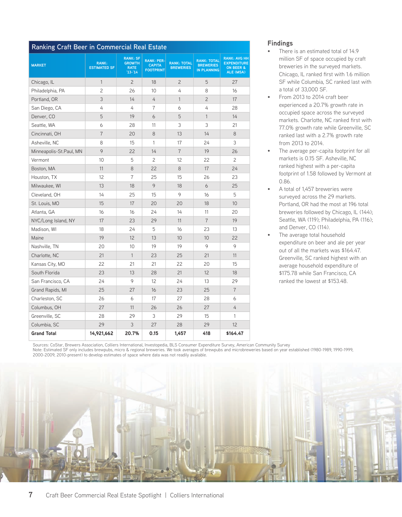| Ranking Craft Beer in Commercial Real Estate |                                     |                                                              |                                                        |                                        |                                                              |                                                                                       |
|----------------------------------------------|-------------------------------------|--------------------------------------------------------------|--------------------------------------------------------|----------------------------------------|--------------------------------------------------------------|---------------------------------------------------------------------------------------|
| <b>MARKET</b>                                | <b>RANK:</b><br><b>ESTIMATED SF</b> | <b>RANK: SF</b><br><b>GROWTH</b><br><b>RATE</b><br>$13 - 14$ | <b>RANK: PER-</b><br><b>CAPITA</b><br><b>FOOTPRINT</b> | <b>RANK: TOTAL</b><br><b>BREWERIES</b> | <b>RANK: TOTAL</b><br><b>BREWERIES</b><br><b>IN PLANNING</b> | <b>RANK: AVG HH</b><br><b>EXPENDITURE</b><br><b>ON BEER &amp;</b><br><b>ALE (MSA)</b> |
| Chicago, IL                                  | $\mathbf{1}$                        | $\overline{c}$                                               | 18                                                     | 2                                      | 5                                                            | 27                                                                                    |
| Philadelphia, PA                             | $\overline{c}$                      | 26                                                           | 10                                                     | 4                                      | 8                                                            | 16                                                                                    |
| Portland, OR                                 | 3                                   | 14                                                           | 4                                                      | $\mathbf{1}$                           | $\overline{c}$                                               | 17                                                                                    |
| San Diego, CA                                | 4                                   | 4                                                            | $\overline{7}$                                         | 6                                      | 4                                                            | 28                                                                                    |
| Denver, CO                                   | 5                                   | 19                                                           | 6                                                      | 5                                      | $\mathbf{1}$                                                 | 14                                                                                    |
| Seattle, WA                                  | 6                                   | 28                                                           | 11                                                     | 3                                      | 3                                                            | 21                                                                                    |
| Cincinnati, OH                               | $\overline{7}$                      | 20                                                           | 8                                                      | 13                                     | 14                                                           | 8                                                                                     |
| Asheville, NC                                | 8                                   | 15                                                           | $\mathbf{1}$                                           | 17                                     | 24                                                           | 3                                                                                     |
| Minneapolis-St.Paul, MN                      | 9                                   | 22                                                           | 14                                                     | $\overline{7}$                         | 19                                                           | 26                                                                                    |
| Vermont                                      | 10                                  | 5                                                            | 2                                                      | 12                                     | 22                                                           | $\overline{c}$                                                                        |
| Boston, MA                                   | 11                                  | 8                                                            | 22                                                     | 8                                      | 17                                                           | 24                                                                                    |
| Houston, TX                                  | 12                                  | 7                                                            | 25                                                     | 15                                     | 26                                                           | 23                                                                                    |
| Milwaukee, WI                                | 13                                  | 18                                                           | 9                                                      | 18                                     | 6                                                            | 25                                                                                    |
| Cleveland, OH                                | 14                                  | 25                                                           | 15                                                     | 9                                      | 16                                                           | 5                                                                                     |
| St. Louis, MO                                | 15                                  | 17                                                           | 20                                                     | 20                                     | 18                                                           | 10                                                                                    |
| Atlanta, GA                                  | 16                                  | 16                                                           | 24                                                     | 14                                     | 11                                                           | 20                                                                                    |
| NYC/Long Island, NY                          | 17                                  | 23                                                           | 29                                                     | 11                                     | $\overline{7}$                                               | 19                                                                                    |
| Madison, WI                                  | 18                                  | 24                                                           | 5                                                      | 16                                     | 23                                                           | 13                                                                                    |
| Maine                                        | 19                                  | 12                                                           | 13                                                     | 10 <sup>1</sup>                        | 10                                                           | 22                                                                                    |
| Nashville, TN                                | 20                                  | 10                                                           | 19                                                     | 19                                     | 9                                                            | 9                                                                                     |
| Charlotte, NC                                | 21                                  | $\mathbf{1}$                                                 | 23                                                     | 25                                     | 21                                                           | 11                                                                                    |
| Kansas City, MO                              | 22                                  | 21                                                           | 21                                                     | 22                                     | 20                                                           | 15                                                                                    |
| South Florida                                | 23                                  | 13                                                           | 28                                                     | 21                                     | 12                                                           | 18                                                                                    |
| San Francisco, CA                            | 24                                  | 9                                                            | 12                                                     | 24                                     | 13                                                           | 29                                                                                    |
| Grand Rapids, MI                             | 25                                  | 27                                                           | 16                                                     | 23                                     | 25                                                           | $\overline{7}$                                                                        |
| Charleston, SC                               | 26                                  | 6                                                            | 17                                                     | 27                                     | 28                                                           | 6                                                                                     |
| Columbus, OH                                 | 27                                  | 11                                                           | 26                                                     | 26                                     | 27                                                           | 4                                                                                     |
| Greenville, SC                               | 28                                  | 29                                                           | 3                                                      | 29                                     | 15                                                           | 1                                                                                     |
| Columbia, SC                                 | 29                                  | 3                                                            | 27                                                     | 28                                     | 29                                                           | 12                                                                                    |
| <b>Grand Total</b>                           | 14,921,662                          | 20.7%                                                        | 0.15                                                   | 1,457                                  | 418                                                          | \$164.47                                                                              |

## **Findings**

- There is an estimated total of 14.9 million SF of space occupied by craft breweries in the surveyed markets. Chicago, IL ranked frst with 1.6 million SF while Columbia, SC ranked last with a total of 33,000 SF.
- From 2013 to 2014 craft beer experienced a 20.7% growth rate in occupied space across the surveyed markets. Charlotte, NC ranked first with 77.0% growth rate while Greenville, SC ranked last with a 2.7% growth rate from 2013 to 2014.
- The average per-capita footprint for all markets is 0.15 SF. Asheville, NC ranked highest with a per-capita footprint of 1.58 followed by Vermont at 0.86.
- A total of 1,457 breweries were surveyed across the 29 markets. Portland, OR had the most at 196 total breweries followed by Chicago, IL (144); Seattle, WA (119); Philadelphia, PA (116); and Denver, CO (114).
- The average total household expenditure on beer and ale per year out of all the markets was \$164.47. Greenville, SC ranked highest with an average household expenditure of \$175.78 while San Francisco, CA ranked the lowest at \$153.48.

Sources: CoStar, Brewers Association, Colliers International, Investopedia, BLS Consumer Expenditure Survey, American Community Survey Note: Estimated SF only includes brewpubs, micro & regional breweries. We took averages of brewpubs and microbreweries based on year established (1980-1989, 1990-1999, 2000-2009, 2010-present) to develop estimates of space where data was not readily available.